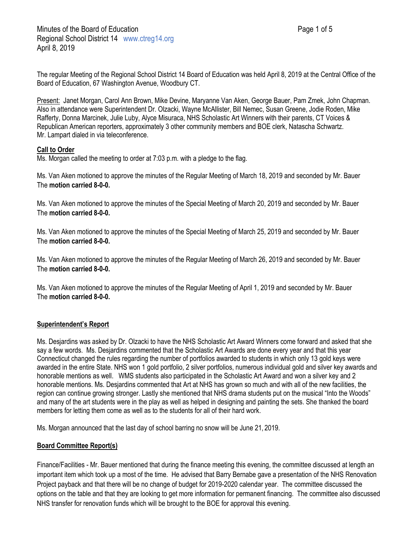The regular Meeting of the Regional School District 14 Board of Education was held April 8, 2019 at the Central Office of the Board of Education, 67 Washington Avenue, Woodbury CT.

Present: Janet Morgan, Carol Ann Brown, Mike Devine, Maryanne Van Aken, George Bauer, Pam Zmek, John Chapman. Also in attendance were Superintendent Dr. Olzacki, Wayne McAllister, Bill Nemec, Susan Greene, Jodie Roden, Mike Rafferty, Donna Marcinek, Julie Luby, Alyce Misuraca, NHS Scholastic Art Winners with their parents, CT Voices & Republican American reporters, approximately 3 other community members and BOE clerk, Natascha Schwartz. Mr. Lampart dialed in via teleconference.

#### **Call to Order**

Ms. Morgan called the meeting to order at 7:03 p.m. with a pledge to the flag.

Ms. Van Aken motioned to approve the minutes of the Regular Meeting of March 18, 2019 and seconded by Mr. Bauer The **motion carried 8-0-0.**

Ms. Van Aken motioned to approve the minutes of the Special Meeting of March 20, 2019 and seconded by Mr. Bauer The **motion carried 8-0-0.**

Ms. Van Aken motioned to approve the minutes of the Special Meeting of March 25, 2019 and seconded by Mr. Bauer The **motion carried 8-0-0.**

Ms. Van Aken motioned to approve the minutes of the Regular Meeting of March 26, 2019 and seconded by Mr. Bauer The **motion carried 8-0-0.**

Ms. Van Aken motioned to approve the minutes of the Regular Meeting of April 1, 2019 and seconded by Mr. Bauer The **motion carried 8-0-0.**

# **Superintendent's Report**

Ms. Desjardins was asked by Dr. Olzacki to have the NHS Scholastic Art Award Winners come forward and asked that she say a few words. Ms. Desjardins commented that the Scholastic Art Awards are done every year and that this year Connecticut changed the rules regarding the number of portfolios awarded to students in which only 13 gold keys were awarded in the entire State. NHS won 1 gold portfolio, 2 silver portfolios, numerous individual gold and silver key awards and honorable mentions as well. WMS students also participated in the Scholastic Art Award and won a silver key and 2 honorable mentions. Ms. Desjardins commented that Art at NHS has grown so much and with all of the new facilities, the region can continue growing stronger. Lastly she mentioned that NHS drama students put on the musical "Into the Woods" and many of the art students were in the play as well as helped in designing and painting the sets. She thanked the board members for letting them come as well as to the students for all of their hard work.

Ms. Morgan announced that the last day of school barring no snow will be June 21, 2019.

# **Board Committee Report(s)**

Finance/Facilities - Mr. Bauer mentioned that during the finance meeting this evening, the committee discussed at length an important item which took up a most of the time. He advised that Barry Bernabe gave a presentation of the NHS Renovation Project payback and that there will be no change of budget for 2019-2020 calendar year. The committee discussed the options on the table and that they are looking to get more information for permanent financing. The committee also discussed NHS transfer for renovation funds which will be brought to the BOE for approval this evening.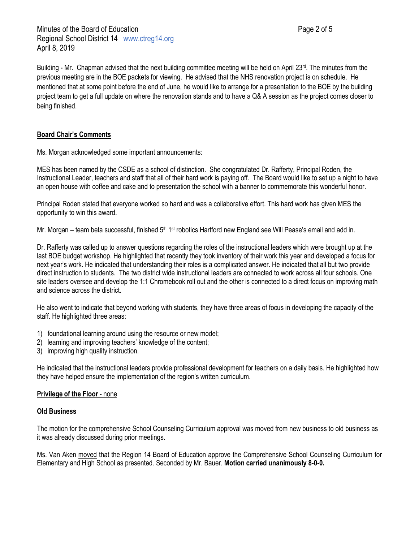Minutes of the Board of Education **Page 2 of 5** and  $\blacksquare$  Page 2 of 5 Regional School District 14 www.ctreg14.org April 8, 2019

Building - Mr. Chapman advised that the next building committee meeting will be held on April 23rd. The minutes from the previous meeting are in the BOE packets for viewing. He advised that the NHS renovation project is on schedule. He mentioned that at some point before the end of June, he would like to arrange for a presentation to the BOE by the building project team to get a full update on where the renovation stands and to have a Q& A session as the project comes closer to being finished.

### **Board Chair's Comments**

Ms. Morgan acknowledged some important announcements:

MES has been named by the CSDE as a school of distinction. She congratulated Dr. Rafferty, Principal Roden, the Instructional Leader, teachers and staff that all of their hard work is paying off. The Board would like to set up a night to have an open house with coffee and cake and to presentation the school with a banner to commemorate this wonderful honor.

Principal Roden stated that everyone worked so hard and was a collaborative effort. This hard work has given MES the opportunity to win this award.

Mr. Morgan – team beta successful, finished 5<sup>th 1st</sup> robotics Hartford new England see Will Pease's email and add in.

Dr. Rafferty was called up to answer questions regarding the roles of the instructional leaders which were brought up at the last BOE budget workshop. He highlighted that recently they took inventory of their work this year and developed a focus for next year's work. He indicated that understanding their roles is a complicated answer. He indicated that all but two provide direct instruction to students. The two district wide instructional leaders are connected to work across all four schools. One site leaders oversee and develop the 1:1 Chromebook roll out and the other is connected to a direct focus on improving math and science across the district.

He also went to indicate that beyond working with students, they have three areas of focus in developing the capacity of the staff. He highlighted three areas:

- 1) foundational learning around using the resource or new model;
- 2) learning and improving teachers' knowledge of the content;
- 3) improving high quality instruction.

He indicated that the instructional leaders provide professional development for teachers on a daily basis. He highlighted how they have helped ensure the implementation of the region's written curriculum.

#### **Privilege of the Floor** - none

#### **Old Business**

The motion for the comprehensive School Counseling Curriculum approval was moved from new business to old business as it was already discussed during prior meetings.

Ms. Van Aken moved that the Region 14 Board of Education approve the Comprehensive School Counseling Curriculum for Elementary and High School as presented. Seconded by Mr. Bauer. **Motion carried unanimously 8-0-0.**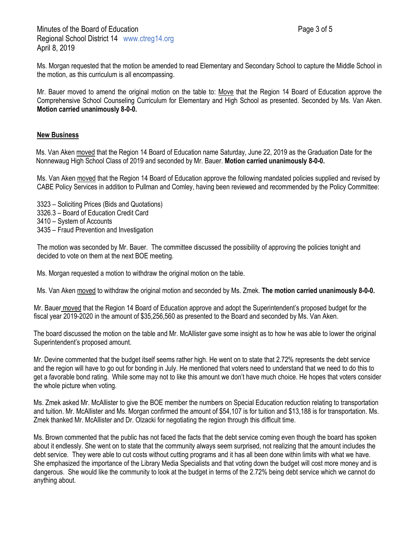Ms. Morgan requested that the motion be amended to read Elementary and Secondary School to capture the Middle School in the motion, as this curriculum is all encompassing.

Mr. Bauer moved to amend the original motion on the table to: Move that the Region 14 Board of Education approve the Comprehensive School Counseling Curriculum for Elementary and High School as presented. Seconded by Ms. Van Aken. **Motion carried unanimously 8-0-0.**

### **New Business**

Ms. Van Aken moved that the Region 14 Board of Education name Saturday, June 22, 2019 as the Graduation Date for the Nonnewaug High School Class of 2019 and seconded by Mr. Bauer. **Motion carried unanimously 8-0-0.**

Ms. Van Aken moved that the Region 14 Board of Education approve the following mandated policies supplied and revised by CABE Policy Services in addition to Pullman and Comley, having been reviewed and recommended by the Policy Committee:

3323 – Soliciting Prices (Bids and Quotations) 3326.3 – Board of Education Credit Card 3410 – System of Accounts 3435 – Fraud Prevention and Investigation

The motion was seconded by Mr. Bauer. The committee discussed the possibility of approving the policies tonight and decided to vote on them at the next BOE meeting.

Ms. Morgan requested a motion to withdraw the original motion on the table.

Ms. Van Aken moved to withdraw the original motion and seconded by Ms. Zmek. **The motion carried unanimously 8-0-0.**

Mr. Bauer moved that the Region 14 Board of Education approve and adopt the Superintendent's proposed budget for the fiscal year 2019-2020 in the amount of \$35,256,560 as presented to the Board and seconded by Ms. Van Aken.

The board discussed the motion on the table and Mr. McAllister gave some insight as to how he was able to lower the original Superintendent's proposed amount.

Mr. Devine commented that the budget itself seems rather high. He went on to state that 2.72% represents the debt service and the region will have to go out for bonding in July. He mentioned that voters need to understand that we need to do this to get a favorable bond rating. While some may not to like this amount we don't have much choice. He hopes that voters consider the whole picture when voting.

Ms. Zmek asked Mr. McAllister to give the BOE member the numbers on Special Education reduction relating to transportation and tuition. Mr. McAllister and Ms. Morgan confirmed the amount of \$54,107 is for tuition and \$13,188 is for transportation. Ms. Zmek thanked Mr. McAllister and Dr. Olzacki for negotiating the region through this difficult time.

Ms. Brown commented that the public has not faced the facts that the debt service coming even though the board has spoken about it endlessly. She went on to state that the community always seem surprised, not realizing that the amount includes the debt service. They were able to cut costs without cutting programs and it has all been done within limits with what we have. She emphasized the importance of the Library Media Specialists and that voting down the budget will cost more money and is dangerous. She would like the community to look at the budget in terms of the 2.72% being debt service which we cannot do anything about.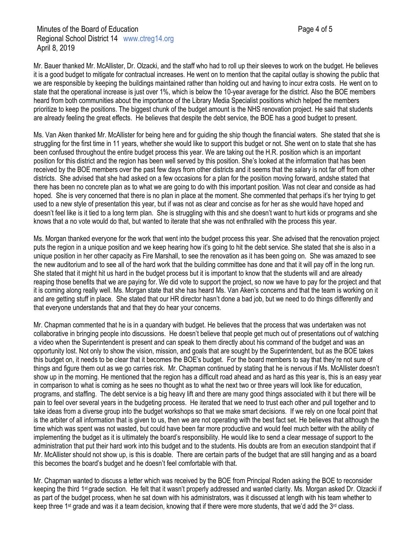Mr. Bauer thanked Mr. McAllister, Dr. Olzacki, and the staff who had to roll up their sleeves to work on the budget. He believes it is a good budget to mitigate for contractual increases. He went on to mention that the capital outlay is showing the public that we are responsible by keeping the buildings maintained rather than holding out and having to incur extra costs. He went on to state that the operational increase is just over 1%, which is below the 10-year average for the district. Also the BOE members heard from both communities about the importance of the Library Media Specialist positions which helped the members prioritize to keep the positions. The biggest chunk of the budget amount is the NHS renovation project. He said that students are already feeling the great effects. He believes that despite the debt service, the BOE has a good budget to present.

Ms. Van Aken thanked Mr. McAllister for being here and for guiding the ship though the financial waters. She stated that she is struggling for the first time in 11 years, whether she would like to support this budget or not. She went on to state that she has been confused throughout the entire budget process this year. We are taking out the H.R. position which is an important position for this district and the region has been well served by this position. She's looked at the information that has been received by the BOE members over the past few days from other districts and it seems that the salary is not far off from other districts. She advised that she had asked on a few occasions for a plan for the position moving forward, andshe stated that there has been no concrete plan as to what we are going to do with this important position. Was not clear and conside as had hoped. She is very concerned that there is no plan in place at the moment. She commented that perhaps it's her trying to get used to a new style of presentation this year, but if was not as clear and concise as for her as she would have hoped and doesn't feel like is it tied to a long term plan. She is struggling with this and she doesn't want to hurt kids or programs and she knows that a no vote would do that, but wanted to iterate that she was not enthralled with the process this year.

Ms. Morgan thanked everyone for the work that went into the budget process this year. She advised that the renovation project puts the region in a unique position and we keep hearing how it's going to hit the debt service. She stated that she is also in a unique position in her other capacity as Fire Marshall, to see the renovation as it has been going on. She was amazed to see the new auditorium and to see all of the hard work that the building committee has done and that it will pay off in the long run. She stated that it might hit us hard in the budget process but it is important to know that the students will and are already reaping those benefits that we are paying for. We did vote to support the project, so now we have to pay for the project and that it is coming along really well. Ms. Morgan state that she has heard Ms. Van Aken's concerns and that the team is working on it and are getting stuff in place. She stated that our HR director hasn't done a bad job, but we need to do things differently and that everyone understands that and that they do hear your concerns.

Mr. Chapman commented that he is in a quandary with budget. He believes that the process that was undertaken was not collaborative in bringing people into discussions. He doesn't believe that people get much out of presentations out of watching a video when the Superintendent is present and can speak to them directly about his command of the budget and was an opportunity lost. Not only to show the vision, mission, and goals that are sought by the Superintendent, but as the BOE takes this budget on, it needs to be clear that it becomes the BOE's budget. For the board members to say that they're not sure of things and figure them out as we go carries risk. Mr. Chapman continued by stating that he is nervous if Ms. McAllister doesn't show up in the morning. He mentioned that the region has a difficult road ahead and as hard as this year is, this is an easy year in comparison to what is coming as he sees no thought as to what the next two or three years will look like for education, programs, and staffing. The debt service is a big heavy lift and there are many good things associated with it but there will be pain to feel over several years in the budgeting process. He iterated that we need to trust each other and pull together and to take ideas from a diverse group into the budget workshops so that we make smart decisions. If we rely on one focal point that is the arbiter of all information that is given to us, then we are not operating with the best fact set. He believes that although the time which was spent was not wasted, but could have been far more productive and would feel much better with the ability of implementing the budget as it is ultimately the board's responsibility. He would like to send a clear message of support to the administration that put their hard work into this budget and to the students. His doubts are from an execution standpoint that if Mr. McAllister should not show up, is this is doable. There are certain parts of the budget that are still hanging and as a board this becomes the board's budget and he doesn't feel comfortable with that.

Mr. Chapman wanted to discuss a letter which was received by the BOE from Principal Roden asking the BOE to reconsider keeping the third 1st grade section. He felt that it wasn't properly addressed and wanted clarity. Ms. Morgan asked Dr. Olzacki if as part of the budget process, when he sat down with his administrators, was it discussed at length with his team whether to keep three 1<sup>st</sup> grade and was it a team decision, knowing that if there were more students, that we'd add the  $3<sup>rd</sup>$  class.